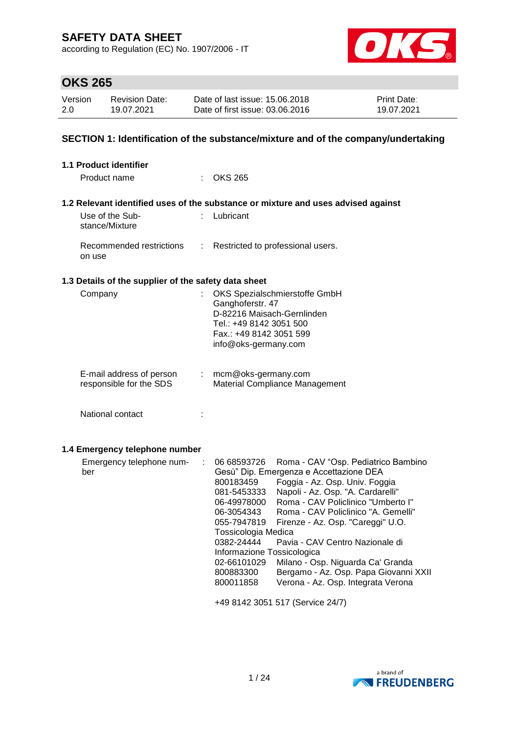according to Regulation (EC) No. 1907/2006 - IT



# **OKS 265**

| Version | <b>Revision Date:</b> | Date of last issue: 15.06.2018  | <b>Print Date:</b> |
|---------|-----------------------|---------------------------------|--------------------|
| 2.0     | 19.07.2021            | Date of first issue: 03.06.2016 | 19.07.2021         |

## **SECTION 1: Identification of the substance/mixture and of the company/undertaking**

| 1.1 Product identifier                                          |                                                                                                                                                                                                                                                                                                                                                                                                                                                                                                                                                                                                                                   |
|-----------------------------------------------------------------|-----------------------------------------------------------------------------------------------------------------------------------------------------------------------------------------------------------------------------------------------------------------------------------------------------------------------------------------------------------------------------------------------------------------------------------------------------------------------------------------------------------------------------------------------------------------------------------------------------------------------------------|
| Product name                                                    | $\therefore$ OKS 265                                                                                                                                                                                                                                                                                                                                                                                                                                                                                                                                                                                                              |
|                                                                 | 1.2 Relevant identified uses of the substance or mixture and uses advised against                                                                                                                                                                                                                                                                                                                                                                                                                                                                                                                                                 |
| Use of the Sub-<br>stance/Mixture                               | : Lubricant                                                                                                                                                                                                                                                                                                                                                                                                                                                                                                                                                                                                                       |
| Recommended restrictions<br>$\mathbb{Z}^{\mathbb{Z}}$<br>on use | Restricted to professional users.                                                                                                                                                                                                                                                                                                                                                                                                                                                                                                                                                                                                 |
| 1.3 Details of the supplier of the safety data sheet            |                                                                                                                                                                                                                                                                                                                                                                                                                                                                                                                                                                                                                                   |
| Company                                                         | OKS Spezialschmierstoffe GmbH<br>Ganghoferstr. 47<br>D-82216 Maisach-Gernlinden<br>Tel.: +49 8142 3051 500<br>Fax.: +49 8142 3051 599<br>info@oks-germany.com                                                                                                                                                                                                                                                                                                                                                                                                                                                                     |
| E-mail address of person<br>t.<br>responsible for the SDS       | mcm@oks-germany.com<br>Material Compliance Management                                                                                                                                                                                                                                                                                                                                                                                                                                                                                                                                                                             |
| National contact<br>t                                           |                                                                                                                                                                                                                                                                                                                                                                                                                                                                                                                                                                                                                                   |
| 1.4 Emergency telephone number                                  |                                                                                                                                                                                                                                                                                                                                                                                                                                                                                                                                                                                                                                   |
| Emergency telephone num-<br>÷<br>ber                            | 06 68593726<br>Roma - CAV "Osp. Pediatrico Bambino<br>Gesù" Dip. Emergenza e Accettazione DEA<br>Foggia - Az. Osp. Univ. Foggia<br>800183459<br>Napoli - Az. Osp. "A. Cardarelli"<br>081-5453333<br>Roma - CAV Policlinico "Umberto I"<br>06-49978000<br>Roma - CAV Policlinico "A. Gemelli"<br>06-3054343<br>055-7947819<br>Firenze - Az. Osp. "Careggi" U.O.<br>Tossicologia Medica<br>0382-24444<br>Pavia - CAV Centro Nazionale di<br>Informazione Tossicologica<br>02-66101029<br>Milano - Osp. Niguarda Ca' Granda<br>800883300<br>Bergamo - Az. Osp. Papa Giovanni XXII<br>Verona - Az. Osp. Integrata Verona<br>800011858 |
|                                                                 | +49 8142 3051 517 (Service 24/7)                                                                                                                                                                                                                                                                                                                                                                                                                                                                                                                                                                                                  |

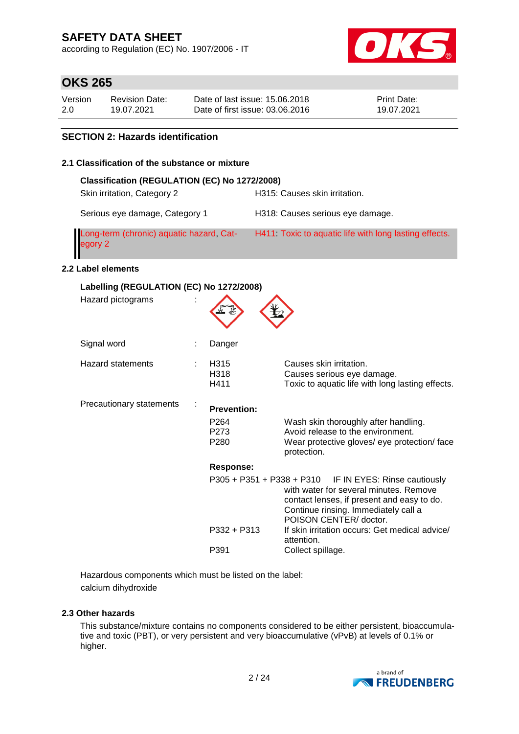according to Regulation (EC) No. 1907/2006 - IT



## **OKS 265**

| Version | <b>Revision Date:</b> | Date of last issue: 15,06,2018  | <b>Print Date:</b> |
|---------|-----------------------|---------------------------------|--------------------|
| 2.0     | 19.07.2021            | Date of first issue: 03.06.2016 | 19.07.2021         |

## **SECTION 2: Hazards identification**

## **2.1 Classification of the substance or mixture**

| Classification (REGULATION (EC) No 1272/2008)       |                                                       |
|-----------------------------------------------------|-------------------------------------------------------|
| Skin irritation, Category 2                         | H315: Causes skin irritation.                         |
| Serious eye damage, Category 1                      | H318: Causes serious eye damage.                      |
| Long-term (chronic) aquatic hazard, Cat-<br>egory 2 | H411 Toxic to aquatic life with long lasting effects. |

## **2.2 Label elements**

| Labelling (REGULATION (EC) No 1272/2008) |  |                                              |                                                                                                                                                                                                                  |  |  |
|------------------------------------------|--|----------------------------------------------|------------------------------------------------------------------------------------------------------------------------------------------------------------------------------------------------------------------|--|--|
| Hazard pictograms                        |  |                                              |                                                                                                                                                                                                                  |  |  |
| Signal word                              |  | Danger                                       |                                                                                                                                                                                                                  |  |  |
| <b>Hazard statements</b>                 |  | H315<br>H318<br>H411                         | Causes skin irritation.<br>Causes serious eye damage.<br>Toxic to aquatic life with long lasting effects.                                                                                                        |  |  |
| Precautionary statements                 |  | <b>Prevention:</b>                           |                                                                                                                                                                                                                  |  |  |
|                                          |  | P <sub>264</sub><br>P273<br>P <sub>280</sub> | Wash skin thoroughly after handling.<br>Avoid release to the environment.<br>Wear protective gloves/ eye protection/ face<br>protection.                                                                         |  |  |
|                                          |  | Response:                                    |                                                                                                                                                                                                                  |  |  |
|                                          |  |                                              | P305 + P351 + P338 + P310 IF IN EYES: Rinse cautiously<br>with water for several minutes. Remove<br>contact lenses, if present and easy to do.<br>Continue rinsing. Immediately call a<br>POISON CENTER/ doctor. |  |  |
|                                          |  | P332 + P313                                  | If skin irritation occurs: Get medical advice/<br>attention.                                                                                                                                                     |  |  |
|                                          |  | P391                                         | Collect spillage.                                                                                                                                                                                                |  |  |

Hazardous components which must be listed on the label: calcium dihydroxide

## **2.3 Other hazards**

This substance/mixture contains no components considered to be either persistent, bioaccumulative and toxic (PBT), or very persistent and very bioaccumulative (vPvB) at levels of 0.1% or higher.

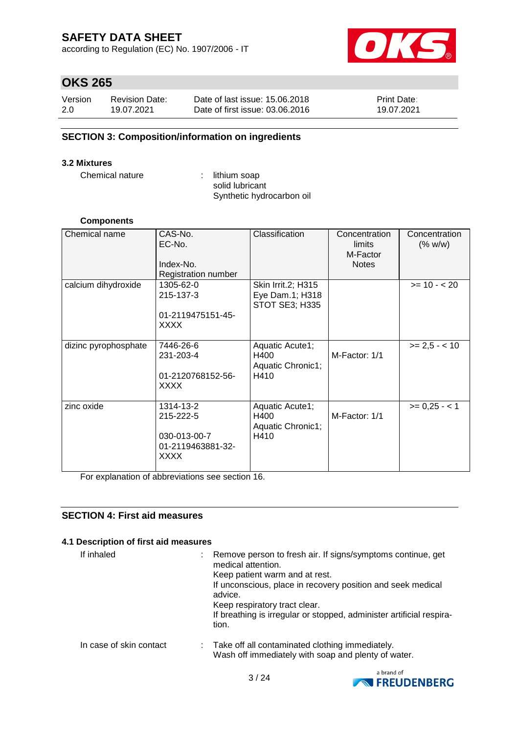according to Regulation (EC) No. 1907/2006 - IT



## **OKS 265**

| Version | <b>Revision Date:</b> | Date of last issue: 15,06,2018  | <b>Print Date:</b> |
|---------|-----------------------|---------------------------------|--------------------|
| 2.0     | 19.07.2021            | Date of first issue: 03.06.2016 | 19.07.2021         |

## **SECTION 3: Composition/information on ingredients**

#### **3.2 Mixtures**

Chemical nature : lithium soap

solid lubricant Synthetic hydrocarbon oil

#### **Components**

| Chemical name        | CAS-No.<br>EC-No.<br>Index-No.<br>Registration number                      | Classification                                                 | Concentration<br>limits<br>M-Factor<br><b>Notes</b> | Concentration<br>(% w/w) |
|----------------------|----------------------------------------------------------------------------|----------------------------------------------------------------|-----------------------------------------------------|--------------------------|
| calcium dihydroxide  | 1305-62-0<br>215-137-3<br>01-2119475151-45-<br>XXXX                        | Skin Irrit.2; H315<br>Eye Dam.1; H318<br><b>STOT SE3; H335</b> |                                                     | $>= 10 - 20$             |
| dizinc pyrophosphate | 7446-26-6<br>231-203-4<br>01-2120768152-56-<br><b>XXXX</b>                 | Aquatic Acute1;<br>H400<br>Aquatic Chronic1;<br>H410           | M-Factor: 1/1                                       | $>= 2.5 - < 10$          |
| zinc oxide           | 1314-13-2<br>215-222-5<br>030-013-00-7<br>01-2119463881-32-<br><b>XXXX</b> | Aquatic Acute1;<br>H400<br>Aquatic Chronic1;<br>H410           | M-Factor: 1/1                                       | $>= 0,25 - 1$            |

For explanation of abbreviations see section 16.

### **SECTION 4: First aid measures**

## **4.1 Description of first aid measures**

| If inhaled              | Remove person to fresh air. If signs/symptoms continue, get<br>medical attention.<br>Keep patient warm and at rest.<br>If unconscious, place in recovery position and seek medical<br>advice.<br>Keep respiratory tract clear.<br>If breathing is irregular or stopped, administer artificial respira-<br>tion. |
|-------------------------|-----------------------------------------------------------------------------------------------------------------------------------------------------------------------------------------------------------------------------------------------------------------------------------------------------------------|
| In case of skin contact | : Take off all contaminated clothing immediately.<br>Wash off immediately with soap and plenty of water.                                                                                                                                                                                                        |

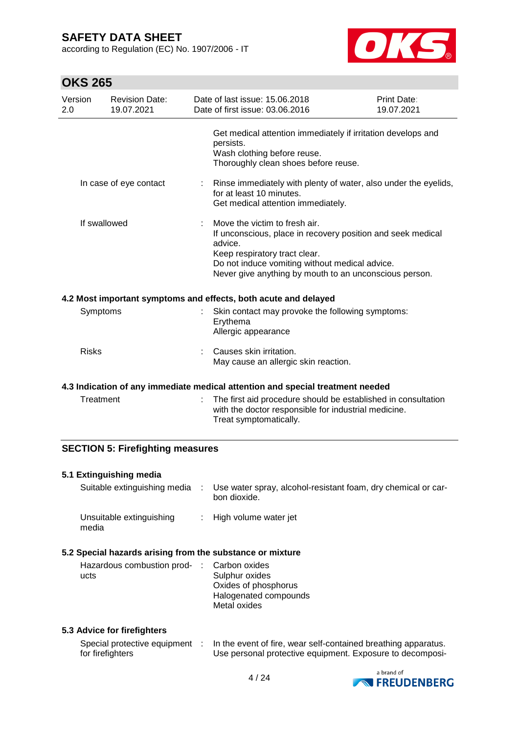according to Regulation (EC) No. 1907/2006 - IT



# **OKS 265**

| Version<br>2.0 | <b>Revision Date:</b><br>19.07.2021 | Date of last issue: 15.06.2018<br>Date of first issue: 03.06.2016                                                                                                                                                                                    | Print Date:<br>19.07.2021 |
|----------------|-------------------------------------|------------------------------------------------------------------------------------------------------------------------------------------------------------------------------------------------------------------------------------------------------|---------------------------|
|                |                                     | Get medical attention immediately if irritation develops and<br>persists.<br>Wash clothing before reuse.<br>Thoroughly clean shoes before reuse.                                                                                                     |                           |
|                | In case of eye contact              | Rinse immediately with plenty of water, also under the eyelids,<br>for at least 10 minutes.<br>Get medical attention immediately.                                                                                                                    |                           |
|                | If swallowed                        | Move the victim to fresh air.<br>If unconscious, place in recovery position and seek medical<br>advice.<br>Keep respiratory tract clear.<br>Do not induce vomiting without medical advice.<br>Never give anything by mouth to an unconscious person. |                           |
|                |                                     | 4.2 Most important symptoms and effects, both acute and delayed                                                                                                                                                                                      |                           |
| Symptoms       |                                     | Skin contact may provoke the following symptoms:<br>Erythema<br>Allergic appearance                                                                                                                                                                  |                           |
| <b>Risks</b>   |                                     | Causes skin irritation.<br>May cause an allergic skin reaction.                                                                                                                                                                                      |                           |
|                |                                     | 4.3 Indication of any immediate medical attention and special treatment needed                                                                                                                                                                       |                           |
| Treatment      |                                     | The first aid procedure should be established in consultation<br>with the doctor responsible for industrial medicine.                                                                                                                                |                           |

## **SECTION 5: Firefighting measures**

### **5.1 Extinguishing media**

| Suitable extinguishing media      | Use water spray, alcohol-resistant foam, dry chemical or car-<br>bon dioxide. |
|-----------------------------------|-------------------------------------------------------------------------------|
| Unsuitable extinguishing<br>media | : High volume water jet                                                       |

Treat symptomatically.

### **5.2 Special hazards arising from the substance or mixture**

| Hazardous combustion prod- : Carbon oxides |                       |
|--------------------------------------------|-----------------------|
| ucts                                       | Sulphur oxides        |
|                                            | Oxides of phosphorus  |
|                                            | Halogenated compounds |
|                                            | Metal oxides          |

#### **5.3 Advice for firefighters**

| Special protective equipment | In the event of fire, wear self-contained breathing apparatus. |
|------------------------------|----------------------------------------------------------------|
| for firefighters_            | Use personal protective equipment. Exposure to decomposi-      |

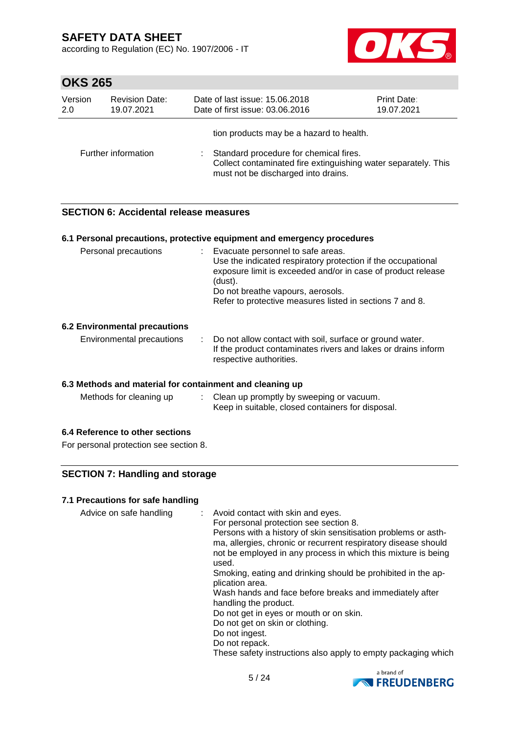according to Regulation (EC) No. 1907/2006 - IT



## **OKS 265**

| Version               |                     | Date of last issue: 15.06.2018                                                                                                                                                              |  |
|-----------------------|---------------------|---------------------------------------------------------------------------------------------------------------------------------------------------------------------------------------------|--|
| <b>Revision Date:</b> |                     | <b>Print Date:</b>                                                                                                                                                                          |  |
| 2.0                   |                     | Date of first issue: 03.06.2016                                                                                                                                                             |  |
| 19.07.2021            |                     | 19.07.2021                                                                                                                                                                                  |  |
|                       | Further information | tion products may be a hazard to health.<br>Standard procedure for chemical fires.<br>Collect contaminated fire extinguishing water separately. This<br>must not be discharged into drains. |  |

## **SECTION 6: Accidental release measures**

#### **6.1 Personal precautions, protective equipment and emergency procedures**

| Personal precautions | Evacuate personnel to safe areas.<br>٠                       |
|----------------------|--------------------------------------------------------------|
|                      | Use the indicated respiratory protection if the occupational |
|                      | exposure limit is exceeded and/or in case of product release |
|                      | (dust).                                                      |
|                      | Do not breathe vapours, aerosols.                            |
|                      | Refer to protective measures listed in sections 7 and 8.     |
|                      |                                                              |

#### **6.2 Environmental precautions**

| Environmental precautions | Do not allow contact with soil, surface or ground water.      |
|---------------------------|---------------------------------------------------------------|
|                           | If the product contaminates rivers and lakes or drains inform |
|                           | respective authorities.                                       |

#### **6.3 Methods and material for containment and cleaning up**

| Methods for cleaning up | Clean up promptly by sweeping or vacuum.          |  |
|-------------------------|---------------------------------------------------|--|
|                         | Keep in suitable, closed containers for disposal. |  |

#### **6.4 Reference to other sections**

For personal protection see section 8.

## **SECTION 7: Handling and storage**

#### **7.1 Precautions for safe handling**

| Advice on safe handling | : Avoid contact with skin and eyes.<br>For personal protection see section 8.<br>Persons with a history of skin sensitisation problems or asth-<br>ma, allergies, chronic or recurrent respiratory disease should<br>not be employed in any process in which this mixture is being<br>used.<br>Smoking, eating and drinking should be prohibited in the ap-<br>plication area.<br>Wash hands and face before breaks and immediately after<br>handling the product.<br>Do not get in eyes or mouth or on skin.<br>Do not get on skin or clothing.<br>Do not ingest.<br>Do not repack.<br>These safety instructions also apply to empty packaging which |
|-------------------------|-------------------------------------------------------------------------------------------------------------------------------------------------------------------------------------------------------------------------------------------------------------------------------------------------------------------------------------------------------------------------------------------------------------------------------------------------------------------------------------------------------------------------------------------------------------------------------------------------------------------------------------------------------|
|                         |                                                                                                                                                                                                                                                                                                                                                                                                                                                                                                                                                                                                                                                       |

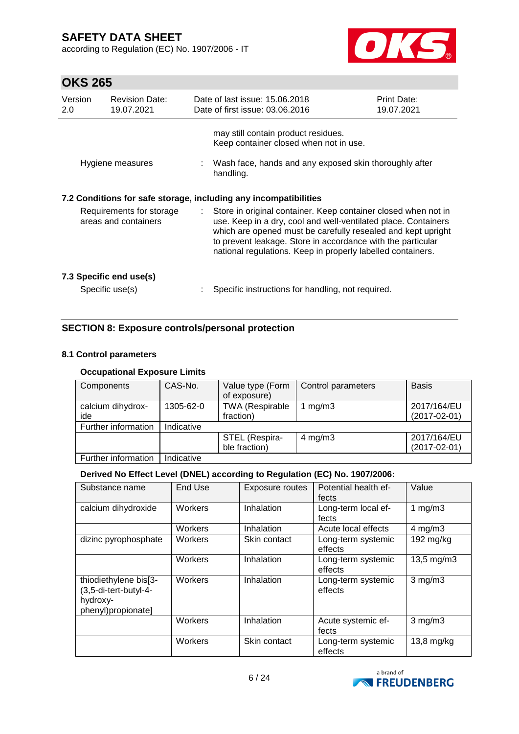according to Regulation (EC) No. 1907/2006 - IT



# **OKS 265**

| Version<br>2.0                                                                                                       | <b>Revision Date:</b><br>19.07.2021        |    | Date of last issue: 15.06.2018<br>Date of first issue: 03.06.2016                                                                                                                                                                                                                                                              | <b>Print Date:</b><br>19.07.2021 |
|----------------------------------------------------------------------------------------------------------------------|--------------------------------------------|----|--------------------------------------------------------------------------------------------------------------------------------------------------------------------------------------------------------------------------------------------------------------------------------------------------------------------------------|----------------------------------|
|                                                                                                                      | Hygiene measures                           |    | may still contain product residues.<br>Keep container closed when not in use.<br>: Wash face, hands and any exposed skin thoroughly after<br>handling.                                                                                                                                                                         |                                  |
| 7.2 Conditions for safe storage, including any incompatibilities<br>Requirements for storage<br>areas and containers |                                            | ÷. | Store in original container. Keep container closed when not in<br>use. Keep in a dry, cool and well-ventilated place. Containers<br>which are opened must be carefully resealed and kept upright<br>to prevent leakage. Store in accordance with the particular<br>national regulations. Keep in properly labelled containers. |                                  |
|                                                                                                                      | 7.3 Specific end use(s)<br>Specific use(s) |    | Specific instructions for handling, not required.                                                                                                                                                                                                                                                                              |                                  |

## **SECTION 8: Exposure controls/personal protection**

#### **8.1 Control parameters**

## **Occupational Exposure Limits**

| Components               | CAS-No.    | Value type (Form<br>of exposure)    | Control parameters | <b>Basis</b>                      |
|--------------------------|------------|-------------------------------------|--------------------|-----------------------------------|
| calcium dihydrox-<br>ide | 1305-62-0  | <b>TWA (Respirable</b><br>fraction) | 1 $mg/m3$          | 2017/164/EU<br>$(2017 - 02 - 01)$ |
| Further information      | Indicative |                                     |                    |                                   |
|                          |            | STEL (Respira-<br>ble fraction)     | $4 \text{ mg/m}$ 3 | 2017/164/EU<br>$(2017 - 02 - 01)$ |
| Further information      | Indicative |                                     |                    |                                   |

## **Derived No Effect Level (DNEL) according to Regulation (EC) No. 1907/2006:**

| Substance name                                                                   | End Use | Exposure routes | Potential health ef-<br>fects | Value                  |
|----------------------------------------------------------------------------------|---------|-----------------|-------------------------------|------------------------|
| calcium dihydroxide                                                              | Workers | Inhalation      | Long-term local ef-<br>fects  | 1 $mg/m3$              |
|                                                                                  | Workers | Inhalation      | Acute local effects           | $4$ mg/m $3$           |
| dizinc pyrophosphate                                                             | Workers | Skin contact    | Long-term systemic<br>effects | 192 $mg/kg$            |
|                                                                                  | Workers | Inhalation      | Long-term systemic<br>effects | $13,5 \, \text{mg/m3}$ |
| thiodiethylene bis[3-<br>(3,5-di-tert-butyl-4-<br>hydroxy-<br>phenyl)propionate] | Workers | Inhalation      | Long-term systemic<br>effects | $3$ mg/m $3$           |
|                                                                                  | Workers | Inhalation      | Acute systemic ef-<br>fects   | $3$ mg/m $3$           |
|                                                                                  | Workers | Skin contact    | Long-term systemic<br>effects | $13,8$ mg/kg           |

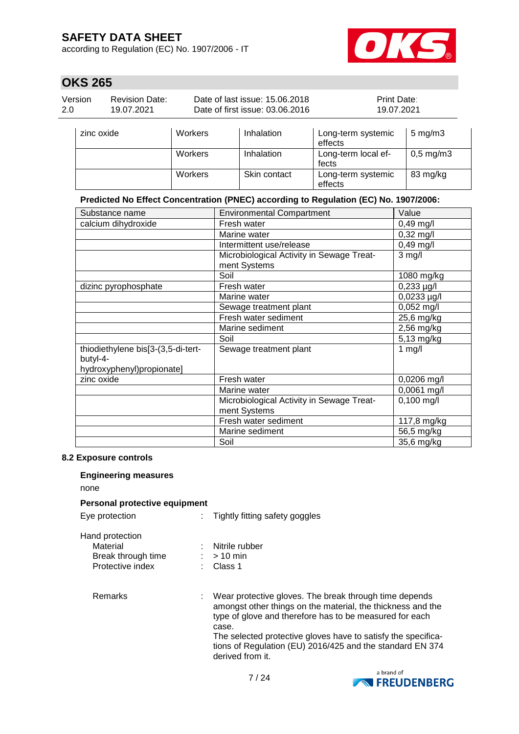according to Regulation (EC) No. 1907/2006 - IT



83 mg/kg

## **OKS 265**

| Version<br><b>Revision Date:</b><br>2.0<br>19.07.2021 |            |         | Date of last issue: 15.06.2018<br>Date of first issue: 03.06.2016 | Print Date:<br>19.07.2021     |                      |
|-------------------------------------------------------|------------|---------|-------------------------------------------------------------------|-------------------------------|----------------------|
|                                                       | zinc oxide | Workers | Inhalation                                                        | Long-term systemic<br>effects | $5 \text{ mg/m}$ 3   |
|                                                       |            | Workers | Inhalation                                                        | Long-term local ef-<br>fects  | $0,5 \text{ mg/m}$ 3 |

#### **Predicted No Effect Concentration (PNEC) according to Regulation (EC) No. 1907/2006:**

Workers | Skin contact | Long-term systemic

effects

| Substance name                                                              | <b>Environmental Compartment</b>                          | Value                    |
|-----------------------------------------------------------------------------|-----------------------------------------------------------|--------------------------|
| calcium dihydroxide                                                         | Fresh water                                               | 0,49 mg/l                |
|                                                                             | Marine water                                              | $0,32$ mg/l              |
|                                                                             | Intermittent use/release                                  | 0,49 mg/l                |
|                                                                             | Microbiological Activity in Sewage Treat-<br>ment Systems | $3$ mg/l                 |
|                                                                             | Soil                                                      | 1080 mg/kg               |
| dizinc pyrophosphate                                                        | Fresh water                                               | $0,233 \mu g/l$          |
|                                                                             | Marine water                                              | 0,0233 µg/l              |
|                                                                             | Sewage treatment plant                                    | $0,052$ mg/l             |
|                                                                             | Fresh water sediment                                      | 25,6 mg/kg               |
|                                                                             | Marine sediment                                           | 2,56 mg/kg               |
|                                                                             | Soil                                                      | 5,13 mg/kg               |
| thiodiethylene bis[3-(3,5-di-tert-<br>butyl-4-<br>hydroxyphenyl)propionate] | Sewage treatment plant                                    | 1 $mg/l$                 |
| zinc oxide                                                                  | Fresh water                                               | 0,0206 mg/l              |
|                                                                             | Marine water                                              | 0,0061 mg/l              |
|                                                                             | Microbiological Activity in Sewage Treat-<br>ment Systems | $0,100$ mg/l             |
|                                                                             | Fresh water sediment                                      | 117,8 mg/kg              |
|                                                                             | Marine sediment                                           | $\overline{56}$ ,5 mg/kg |
|                                                                             | Soil                                                      | 35,6 mg/kg               |

#### **8.2 Exposure controls**

## **Engineering measures**

none

#### **Personal protective equipment**

| Eye protectıon |  |
|----------------|--|
|                |  |

: Tightly fitting safety goggles

| Hand protection    |                |
|--------------------|----------------|
| Material           | Nitrile rubber |
| Break through time | $:$ > 10 min   |
| Protective index   | : Class 1      |

Remarks : Wear protective gloves. The break through time depends amongst other things on the material, the thickness and the type of glove and therefore has to be measured for each case. The selected protective gloves have to satisfy the specifications of Regulation (EU) 2016/425 and the standard EN 374 derived from it.

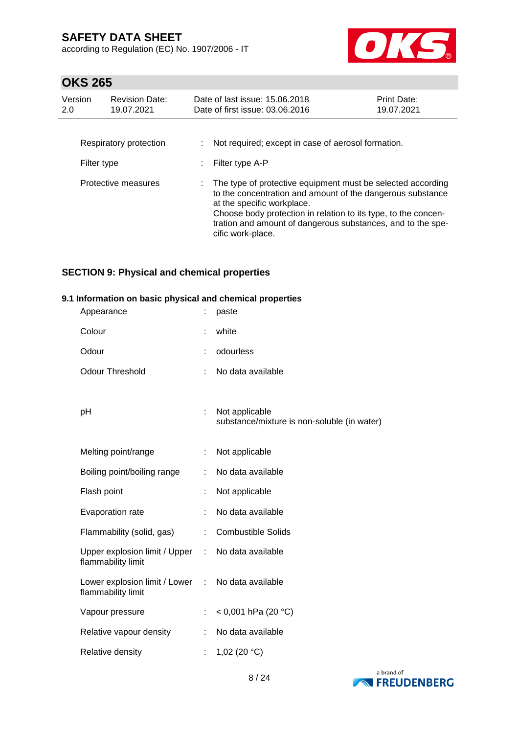according to Regulation (EC) No. 1907/2006 - IT



# **OKS 265**

| Version<br>2.0 | <b>Revision Date:</b><br>19.07.2021 | Date of last issue: 15.06.2018<br>Date of first issue: 03.06.2016                                                                                                                                                                                                                                             | <b>Print Date:</b><br>19.07.2021 |
|----------------|-------------------------------------|---------------------------------------------------------------------------------------------------------------------------------------------------------------------------------------------------------------------------------------------------------------------------------------------------------------|----------------------------------|
| Filter type    | Respiratory protection              | Not required; except in case of aerosol formation.<br>Filter type A-P                                                                                                                                                                                                                                         |                                  |
|                | Protective measures                 | The type of protective equipment must be selected according<br>to the concentration and amount of the dangerous substance<br>at the specific workplace.<br>Choose body protection in relation to its type, to the concen-<br>tration and amount of dangerous substances, and to the spe-<br>cific work-place. |                                  |

## **SECTION 9: Physical and chemical properties**

#### **9.1 Information on basic physical and chemical properties**

| Appearance                                            |   | paste                                                         |
|-------------------------------------------------------|---|---------------------------------------------------------------|
| Colour                                                |   | white                                                         |
| Odour                                                 |   | odourless                                                     |
| <b>Odour Threshold</b>                                |   | No data available                                             |
|                                                       |   |                                                               |
| рH                                                    | ÷ | Not applicable<br>substance/mixture is non-soluble (in water) |
|                                                       |   |                                                               |
| Melting point/range                                   |   | Not applicable                                                |
| Boiling point/boiling range                           |   | No data available                                             |
| Flash point                                           |   | Not applicable                                                |
| Evaporation rate                                      |   | No data available                                             |
| Flammability (solid, gas)                             |   | <b>Combustible Solids</b>                                     |
| Upper explosion limit / Upper :<br>flammability limit |   | No data available                                             |
| Lower explosion limit / Lower :<br>flammability limit |   | No data available                                             |
| Vapour pressure                                       |   | < 0,001 hPa (20 $^{\circ}$ C)                                 |
| Relative vapour density                               |   | No data available                                             |
| Relative density                                      |   | 1,02 (20 $°C$ )                                               |

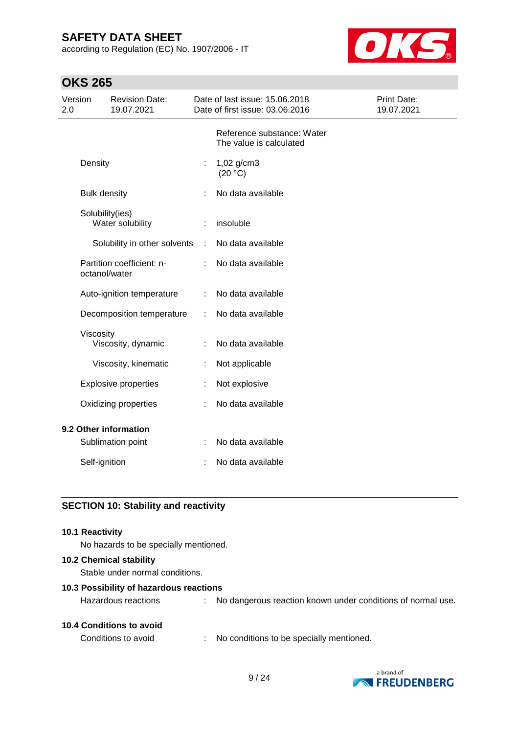according to Regulation (EC) No. 1907/2006 - IT



## **OKS 265**

| Version<br>2.0 |                     | <b>Revision Date:</b><br>19.07.2021 |    | Date of last issue: 15.06.2018<br>Date of first issue: 03.06.2016 | Print Date:<br>19.07.2021 |
|----------------|---------------------|-------------------------------------|----|-------------------------------------------------------------------|---------------------------|
|                |                     |                                     |    | Reference substance: Water<br>The value is calculated             |                           |
|                | Density             |                                     | t, | 1,02 g/cm3<br>(20 °C)                                             |                           |
|                | <b>Bulk density</b> |                                     |    | No data available                                                 |                           |
|                | Solubility(ies)     | Water solubility                    |    | insoluble                                                         |                           |
|                |                     | Solubility in other solvents        |    | No data available                                                 |                           |
|                | octanol/water       | Partition coefficient: n-           |    | No data available                                                 |                           |
|                |                     | Auto-ignition temperature           |    | No data available                                                 |                           |
|                |                     | Decomposition temperature           | ÷  | No data available                                                 |                           |
|                | Viscosity           | Viscosity, dynamic                  |    | No data available                                                 |                           |
|                |                     | Viscosity, kinematic                |    | Not applicable                                                    |                           |
|                |                     | <b>Explosive properties</b>         |    | Not explosive                                                     |                           |
|                |                     | Oxidizing properties                |    | No data available                                                 |                           |
|                |                     | 9.2 Other information               |    |                                                                   |                           |
|                |                     | Sublimation point                   | t  | No data available                                                 |                           |
|                | Self-ignition       |                                     |    | No data available                                                 |                           |

## **SECTION 10: Stability and reactivity**

#### **10.1 Reactivity**

No hazards to be specially mentioned.

### **10.2 Chemical stability**

Stable under normal conditions.

#### **10.3 Possibility of hazardous reactions**

| <b>10.4 Conditions to avoid</b> |  |
|---------------------------------|--|
|                                 |  |

Hazardous reactions : No dangerous reaction known under conditions of normal use.

Conditions to avoid : No conditions to be specially mentioned.

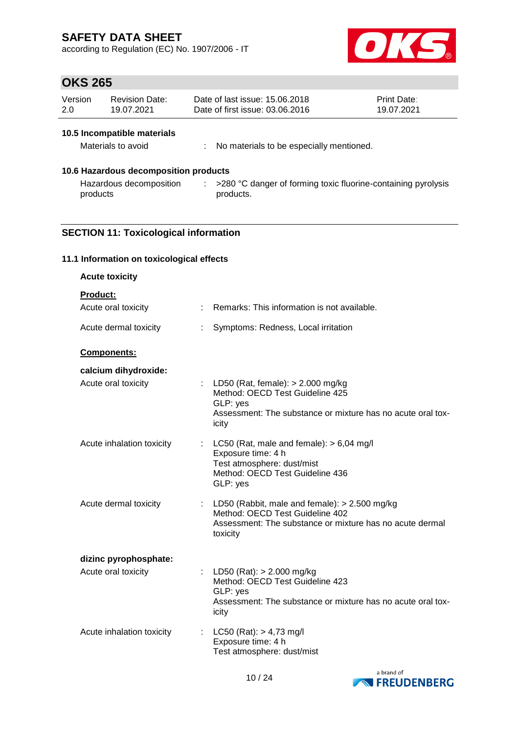according to Regulation (EC) No. 1907/2006 - IT



## **OKS 265**

| Version | Revision Date: | Date of last issue: 15,06,2018  | <b>Print Date:</b> |
|---------|----------------|---------------------------------|--------------------|
| 2.0     | 19.07.2021     | Date of first issue: 03.06.2016 | 19.07.2021         |

## **10.5 Incompatible materials**

| Materials to avoid |  | No materials to be especially mentioned. |
|--------------------|--|------------------------------------------|
|--------------------|--|------------------------------------------|

## **10.6 Hazardous decomposition products**

Hazardous decomposition  $\qquad : \quad >280 \text{ °C}$  danger of forming toxic fluorine-containing pyrolysis products products.

## **SECTION 11: Toxicological information**

#### **11.1 Information on toxicological effects**

| <b>Acute toxicity</b>                                  |                                                                                                                                                              |
|--------------------------------------------------------|--------------------------------------------------------------------------------------------------------------------------------------------------------------|
| Product:<br>Acute oral toxicity                        | Remarks: This information is not available.                                                                                                                  |
|                                                        |                                                                                                                                                              |
| Acute dermal toxicity<br>÷                             | Symptoms: Redness, Local irritation                                                                                                                          |
| Components:                                            |                                                                                                                                                              |
| calcium dihydroxide:                                   |                                                                                                                                                              |
| Acute oral toxicity                                    | : LD50 (Rat, female): $> 2.000$ mg/kg<br>Method: OECD Test Guideline 425<br>GLP: yes<br>Assessment: The substance or mixture has no acute oral tox-<br>icity |
| Acute inhalation toxicity                              | : LC50 (Rat, male and female): $> 6,04$ mg/l<br>Exposure time: 4 h<br>Test atmosphere: dust/mist<br>Method: OECD Test Guideline 436<br>GLP: yes              |
| Acute dermal toxicity                                  | : LD50 (Rabbit, male and female): $> 2.500$ mg/kg<br>Method: OECD Test Guideline 402<br>Assessment: The substance or mixture has no acute dermal<br>toxicity |
| dizinc pyrophosphate:                                  |                                                                                                                                                              |
| Acute oral toxicity                                    | LD50 (Rat): $> 2.000$ mg/kg<br>Method: OECD Test Guideline 423<br>GLP: yes<br>Assessment: The substance or mixture has no acute oral tox-<br>icity           |
| Acute inhalation toxicity<br>$\mathbb{R}^{\mathbb{Z}}$ | $LC50$ (Rat): $> 4,73$ mg/l<br>Exposure time: 4 h<br>Test atmosphere: dust/mist                                                                              |

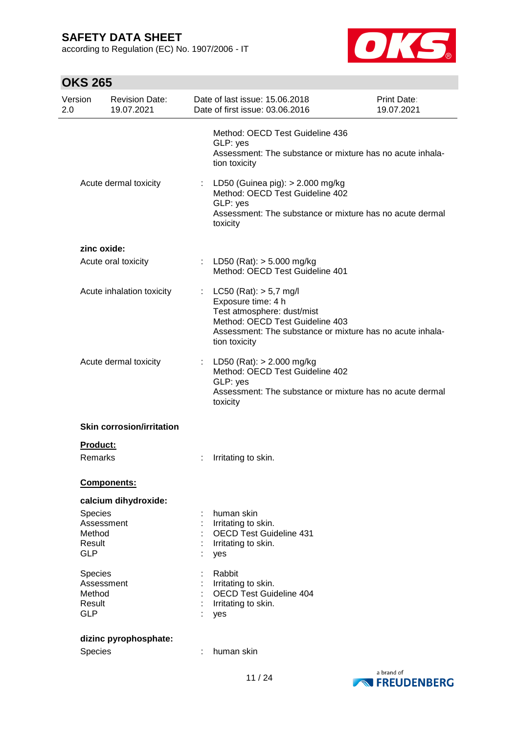according to Regulation (EC) No. 1907/2006 - IT



| Version<br>2.0   | <b>Revision Date:</b><br>19.07.2021 | Date of last issue: 15.06.2018<br>Date of first issue: 03.06.2016                                                                                                                               | Print Date:<br>19.07.2021 |
|------------------|-------------------------------------|-------------------------------------------------------------------------------------------------------------------------------------------------------------------------------------------------|---------------------------|
|                  |                                     | Method: OECD Test Guideline 436<br>GLP: yes<br>Assessment: The substance or mixture has no acute inhala-<br>tion toxicity                                                                       |                           |
|                  | Acute dermal toxicity               | : LD50 (Guinea pig): > 2.000 mg/kg<br>Method: OECD Test Guideline 402<br>GLP: yes<br>Assessment: The substance or mixture has no acute dermal<br>toxicity                                       |                           |
|                  | zinc oxide:                         |                                                                                                                                                                                                 |                           |
|                  | Acute oral toxicity                 | : LD50 (Rat): $>$ 5.000 mg/kg<br>Method: OECD Test Guideline 401                                                                                                                                |                           |
|                  | Acute inhalation toxicity           | $LC50$ (Rat): $> 5.7$ mg/l<br>Exposure time: 4 h<br>Test atmosphere: dust/mist<br>Method: OECD Test Guideline 403<br>Assessment: The substance or mixture has no acute inhala-<br>tion toxicity |                           |
|                  | Acute dermal toxicity               | : LD50 (Rat): $> 2.000$ mg/kg<br>Method: OECD Test Guideline 402<br>GLP: yes<br>Assessment: The substance or mixture has no acute dermal<br>toxicity                                            |                           |
|                  | <b>Skin corrosion/irritation</b>    |                                                                                                                                                                                                 |                           |
|                  | <u>Product:</u>                     |                                                                                                                                                                                                 |                           |
|                  | Remarks                             | Irritating to skin.                                                                                                                                                                             |                           |
|                  | <b>Components:</b>                  |                                                                                                                                                                                                 |                           |
|                  | calcium dihydroxide:                |                                                                                                                                                                                                 |                           |
| Species          |                                     | human skin                                                                                                                                                                                      |                           |
|                  | Assessment                          | Irritating to skin.                                                                                                                                                                             |                           |
| Method<br>Result |                                     | <b>OECD Test Guideline 431</b><br>Irritating to skin.                                                                                                                                           |                           |
| <b>GLP</b>       |                                     | yes                                                                                                                                                                                             |                           |
| Species          |                                     | Rabbit                                                                                                                                                                                          |                           |
|                  | Assessment                          | Irritating to skin.                                                                                                                                                                             |                           |
| Method<br>Result |                                     | <b>OECD Test Guideline 404</b><br>Irritating to skin.                                                                                                                                           |                           |
| <b>GLP</b>       |                                     | yes                                                                                                                                                                                             |                           |
|                  | dizinc pyrophosphate:               |                                                                                                                                                                                                 |                           |
| Species          |                                     | human skin                                                                                                                                                                                      |                           |
|                  |                                     |                                                                                                                                                                                                 |                           |

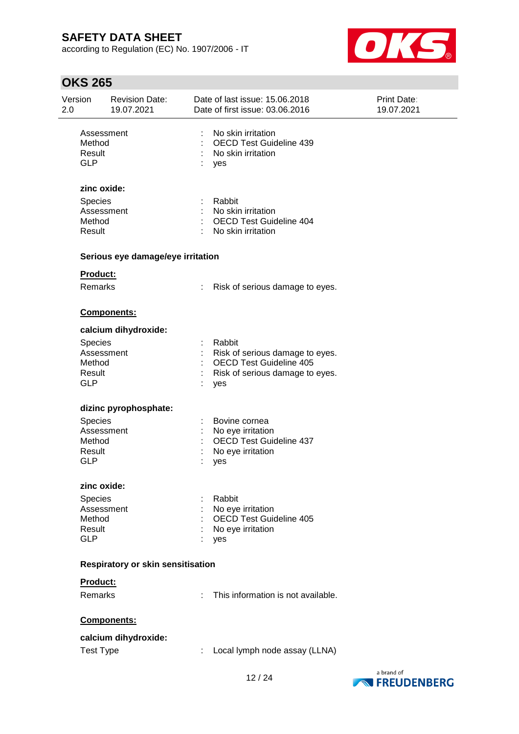according to Regulation (EC) No. 1907/2006 - IT



| Version<br>2.0 |                                                          | <b>Revision Date:</b><br>19.07.2021 |                           | Date of last issue: 15.06.2018<br>Date of first issue: 03.06.2016                                    | Print Date:<br>19.07.2021 |
|----------------|----------------------------------------------------------|-------------------------------------|---------------------------|------------------------------------------------------------------------------------------------------|---------------------------|
|                | Assessment<br>Method<br>Result<br><b>GLP</b>             |                                     | ÷.                        | No skin irritation<br><b>OECD Test Guideline 439</b><br>No skin irritation<br>yes                    |                           |
|                | zinc oxide:<br>Species<br>Assessment<br>Method<br>Result |                                     | $\mathbb{R}^{\mathbb{Z}}$ | Rabbit<br>No skin irritation<br><b>OECD Test Guideline 404</b><br>No skin irritation                 |                           |
|                |                                                          | Serious eye damage/eye irritation   |                           |                                                                                                      |                           |
|                | Product:<br>Remarks                                      |                                     |                           | Risk of serious damage to eyes.                                                                      |                           |
|                |                                                          | <b>Components:</b>                  |                           |                                                                                                      |                           |
|                | Species                                                  | calcium dihydroxide:                |                           | Rabbit                                                                                               |                           |
|                | Assessment<br>Method<br>Result<br><b>GLP</b>             |                                     |                           | Risk of serious damage to eyes.<br>OECD Test Guideline 405<br>Risk of serious damage to eyes.<br>yes |                           |
|                |                                                          | dizinc pyrophosphate:               |                           |                                                                                                      |                           |
|                | Species<br>Assessment<br>Method<br>Result<br><b>GLP</b>  |                                     |                           | Bovine cornea<br>No eye irritation<br><b>OECD Test Guideline 437</b><br>No eye irritation<br>yes     |                           |
|                | zinc oxide:                                              |                                     |                           |                                                                                                      |                           |
|                | Species<br>Assessment<br>Method<br>Result<br><b>GLP</b>  |                                     |                           | Rabbit<br>No eye irritation<br><b>OECD Test Guideline 405</b><br>No eye irritation<br>yes            |                           |
|                |                                                          | Respiratory or skin sensitisation   |                           |                                                                                                      |                           |
|                | Product:                                                 |                                     |                           |                                                                                                      |                           |
|                | Remarks                                                  |                                     |                           | This information is not available.                                                                   |                           |
|                |                                                          | Components:                         |                           |                                                                                                      |                           |
|                |                                                          | calcium dihydroxide:                |                           |                                                                                                      |                           |
|                | <b>Test Type</b>                                         |                                     | ÷.                        | Local lymph node assay (LLNA)                                                                        |                           |

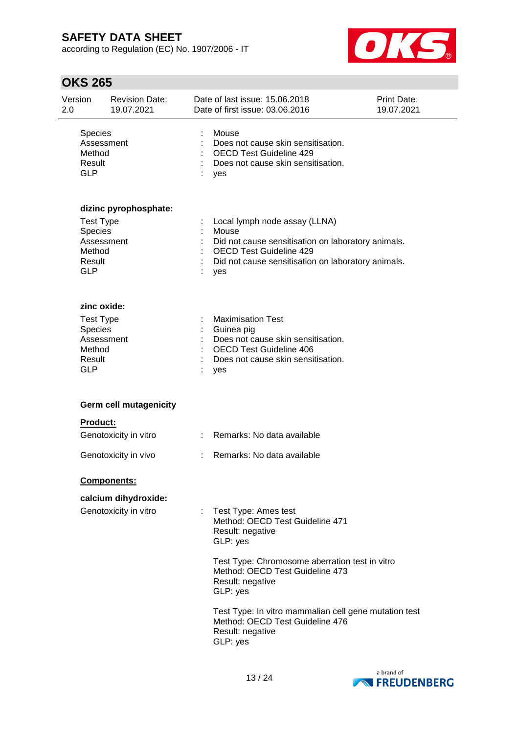according to Regulation (EC) No. 1907/2006 - IT



| Version<br>2.0                            | <b>Revision Date:</b><br>19.07.2021                     |                | Date of last issue: 15.06.2018<br>Date of first issue: 03.06.2016                                                                                           | Print Date:<br>19.07.2021 |
|-------------------------------------------|---------------------------------------------------------|----------------|-------------------------------------------------------------------------------------------------------------------------------------------------------------|---------------------------|
| Species<br>Method<br>Result<br><b>GLP</b> | Assessment                                              |                | Mouse<br>Does not cause skin sensitisation.<br><b>OECD Test Guideline 429</b><br>Does not cause skin sensitisation.<br>yes                                  |                           |
| Species<br>Method                         | dizinc pyrophosphate:<br><b>Test Type</b><br>Assessment |                | Local lymph node assay (LLNA)<br>Mouse<br>Did not cause sensitisation on laboratory animals.<br><b>OECD Test Guideline 429</b>                              |                           |
| Result<br><b>GLP</b>                      |                                                         |                | Did not cause sensitisation on laboratory animals.<br>yes                                                                                                   |                           |
| Species<br>Method<br>Result<br><b>GLP</b> | zinc oxide:<br><b>Test Type</b><br>Assessment           |                | <b>Maximisation Test</b><br>Guinea pig<br>Does not cause skin sensitisation.<br><b>OECD Test Guideline 406</b><br>Does not cause skin sensitisation.<br>yes |                           |
|                                           | <b>Germ cell mutagenicity</b>                           |                |                                                                                                                                                             |                           |
|                                           | <b>Product:</b>                                         |                |                                                                                                                                                             |                           |
|                                           | Genotoxicity in vitro                                   |                | Remarks: No data available                                                                                                                                  |                           |
|                                           | Genotoxicity in vivo                                    | $\mathbb{R}^n$ | Remarks: No data available                                                                                                                                  |                           |
|                                           | Components:                                             |                |                                                                                                                                                             |                           |
|                                           | calcium dihydroxide:<br>Genotoxicity in vitro           |                | Test Type: Ames test<br>Method: OECD Test Guideline 471<br>Result: negative<br>GLP: yes<br>Test Type: Chromosome aberration test in vitro                   |                           |
|                                           |                                                         |                | Method: OECD Test Guideline 473<br>Result: negative<br>GLP: yes                                                                                             |                           |
|                                           |                                                         |                | Test Type: In vitro mammalian cell gene mutation test<br>Method: OECD Test Guideline 476<br>Result: negative<br>GLP: yes                                    |                           |

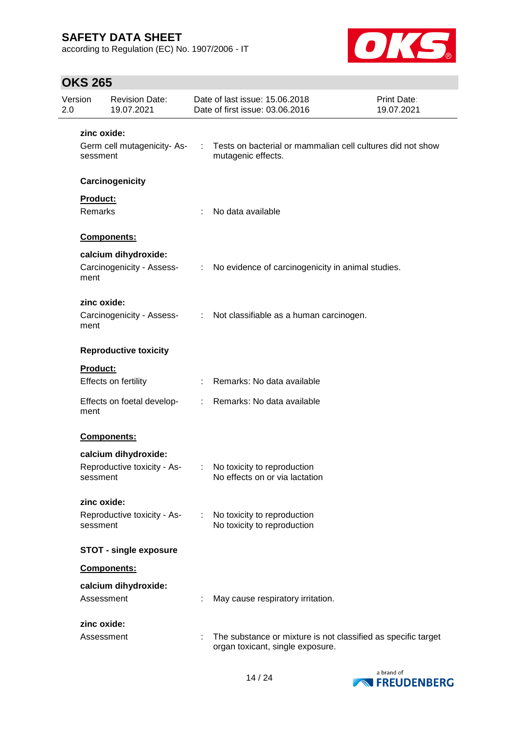according to Regulation (EC) No. 1907/2006 - IT



| 2.0 | Version             | <b>Revision Date:</b><br>19.07.2021 |                               | Date of last issue: 15.06.2018<br>Date of first issue: 03.06.2016                                 | Print Date:<br>19.07.2021 |
|-----|---------------------|-------------------------------------|-------------------------------|---------------------------------------------------------------------------------------------------|---------------------------|
|     | zinc oxide:         |                                     |                               |                                                                                                   |                           |
|     | sessment            | Germ cell mutagenicity-As-          | $\sim 100$                    | Tests on bacterial or mammalian cell cultures did not show<br>mutagenic effects.                  |                           |
|     |                     | Carcinogenicity                     |                               |                                                                                                   |                           |
|     | Product:<br>Remarks |                                     |                               | No data available                                                                                 |                           |
|     |                     | Components:                         |                               |                                                                                                   |                           |
|     |                     | calcium dihydroxide:                |                               |                                                                                                   |                           |
|     | ment                | Carcinogenicity - Assess-           | $\mathcal{I}^{\mathcal{I}}$ . | No evidence of carcinogenicity in animal studies.                                                 |                           |
|     | zinc oxide:         |                                     |                               |                                                                                                   |                           |
|     | ment                | Carcinogenicity - Assess-           |                               | : Not classifiable as a human carcinogen.                                                         |                           |
|     |                     | <b>Reproductive toxicity</b>        |                               |                                                                                                   |                           |
|     | <b>Product:</b>     |                                     |                               |                                                                                                   |                           |
|     |                     | Effects on fertility                |                               | : Remarks: No data available                                                                      |                           |
|     | ment                | Effects on foetal develop-          | t.                            | Remarks: No data available                                                                        |                           |
|     |                     | Components:                         |                               |                                                                                                   |                           |
|     |                     | calcium dihydroxide:                |                               |                                                                                                   |                           |
|     | sessment            | Reproductive toxicity - As-         | $\mathbb{Z}^n$                | No toxicity to reproduction<br>No effects on or via lactation                                     |                           |
|     | zinc oxide:         |                                     |                               |                                                                                                   |                           |
|     | sessment            | Reproductive toxicity - As-         | ÷                             | No toxicity to reproduction<br>No toxicity to reproduction                                        |                           |
|     |                     | <b>STOT - single exposure</b>       |                               |                                                                                                   |                           |
|     |                     | Components:                         |                               |                                                                                                   |                           |
|     |                     | calcium dihydroxide:                |                               |                                                                                                   |                           |
|     | Assessment          |                                     |                               | May cause respiratory irritation.                                                                 |                           |
|     | zinc oxide:         |                                     |                               |                                                                                                   |                           |
|     | Assessment          |                                     | ÷                             | The substance or mixture is not classified as specific target<br>organ toxicant, single exposure. |                           |

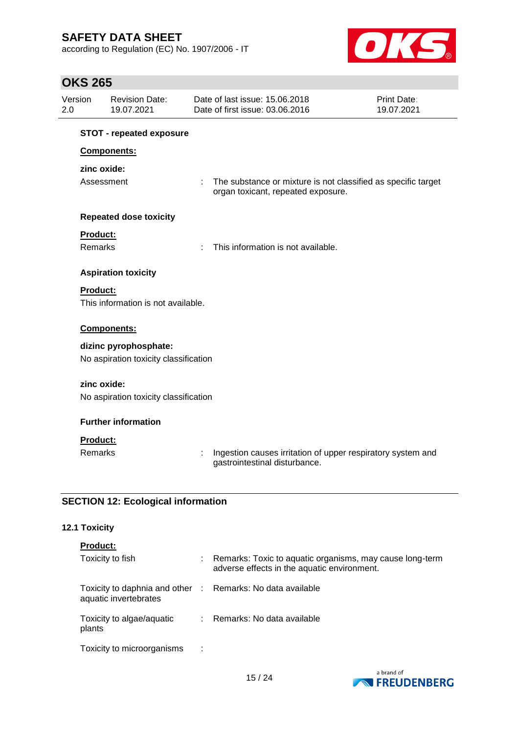according to Regulation (EC) No. 1907/2006 - IT



## **OKS 265**

| Version         | <b>Revision Date:</b><br>19.07.2021       | Date of last issue: 15,06,2018<br>Date of first issue: 03.06.2016                            | Print Date:<br>19.07.2021                                     |
|-----------------|-------------------------------------------|----------------------------------------------------------------------------------------------|---------------------------------------------------------------|
|                 | <b>STOT - repeated exposure</b>           |                                                                                              |                                                               |
|                 | Components:                               |                                                                                              |                                                               |
|                 | zinc oxide:                               |                                                                                              |                                                               |
|                 | Assessment                                | ÷<br>organ toxicant, repeated exposure.                                                      | The substance or mixture is not classified as specific target |
|                 | <b>Repeated dose toxicity</b>             |                                                                                              |                                                               |
| Product:        |                                           |                                                                                              |                                                               |
| <b>Remarks</b>  |                                           | This information is not available.<br>÷                                                      |                                                               |
|                 | <b>Aspiration toxicity</b>                |                                                                                              |                                                               |
| Product:        |                                           |                                                                                              |                                                               |
|                 | This information is not available.        |                                                                                              |                                                               |
|                 | Components:                               |                                                                                              |                                                               |
|                 | dizinc pyrophosphate:                     |                                                                                              |                                                               |
|                 | No aspiration toxicity classification     |                                                                                              |                                                               |
|                 | zinc oxide:                               |                                                                                              |                                                               |
|                 | No aspiration toxicity classification     |                                                                                              |                                                               |
|                 | <b>Further information</b>                |                                                                                              |                                                               |
| <b>Product:</b> |                                           |                                                                                              |                                                               |
| <b>Remarks</b>  |                                           | Ingestion causes irritation of upper respiratory system and<br>gastrointestinal disturbance. |                                                               |
|                 | <b>SECTION 12: Ecological information</b> |                                                                                              |                                                               |

## **12.1 Toxicity**

| <b>Product:</b>                                                                     |                                                                                                         |
|-------------------------------------------------------------------------------------|---------------------------------------------------------------------------------------------------------|
| Toxicity to fish                                                                    | Remarks: Toxic to aquatic organisms, may cause long-term<br>adverse effects in the aquatic environment. |
| Toxicity to daphnia and other : Remarks: No data available<br>aquatic invertebrates |                                                                                                         |
| Toxicity to algae/aquatic<br>plants                                                 | : Remarks: No data available                                                                            |
| Toxicity to microorganisms<br>- 11                                                  |                                                                                                         |

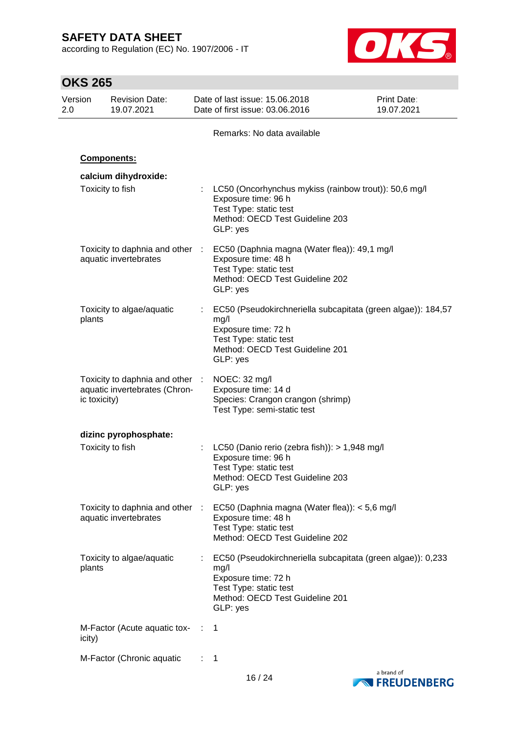according to Regulation (EC) No. 1907/2006 - IT



|                | <b>OKS 265</b> |                                                                  |                                                                     |                                                                                  |                                                              |
|----------------|----------------|------------------------------------------------------------------|---------------------------------------------------------------------|----------------------------------------------------------------------------------|--------------------------------------------------------------|
| Version<br>2.0 |                | <b>Revision Date:</b><br>19.07.2021                              | Date of last issue: 15.06.2018<br>Date of first issue: 03.06.2016   |                                                                                  | <b>Print Date:</b><br>19.07.2021                             |
|                |                |                                                                  |                                                                     | Remarks: No data available                                                       |                                                              |
|                |                | <b>Components:</b>                                               |                                                                     |                                                                                  |                                                              |
|                |                | calcium dihydroxide:                                             |                                                                     |                                                                                  |                                                              |
|                |                | Toxicity to fish                                                 | Exposure time: 96 h<br>Test Type: static test<br>GLP: yes           | Method: OECD Test Guideline 203                                                  | LC50 (Oncorhynchus mykiss (rainbow trout)): 50,6 mg/l        |
|                |                | Toxicity to daphnia and other :<br>aquatic invertebrates         | Exposure time: 48 h<br>Test Type: static test<br>GLP: yes           | EC50 (Daphnia magna (Water flea)): 49,1 mg/l<br>Method: OECD Test Guideline 202  |                                                              |
|                | plants         | Toxicity to algae/aquatic                                        | mg/l<br>Exposure time: 72 h<br>Test Type: static test<br>GLP: yes   | Method: OECD Test Guideline 201                                                  | EC50 (Pseudokirchneriella subcapitata (green algae)): 184,57 |
|                | ic toxicity)   | Toxicity to daphnia and other :<br>aquatic invertebrates (Chron- | NOEC: 32 mg/l<br>Exposure time: 14 d<br>Test Type: semi-static test | Species: Crangon crangon (shrimp)                                                |                                                              |
|                |                | dizinc pyrophosphate:                                            |                                                                     |                                                                                  |                                                              |
|                |                | Toxicity to fish                                                 | Exposure time: 96 h<br>Test Type: static test<br>GLP: yes           | LC50 (Danio rerio (zebra fish)): > 1,948 mg/l<br>Method: OECD Test Guideline 203 |                                                              |
|                |                | Toxicity to daphnia and other :<br>aquatic invertebrates         | Exposure time: 48 h<br>Test Type: static test                       | EC50 (Daphnia magna (Water flea)): < 5,6 mg/l<br>Method: OECD Test Guideline 202 |                                                              |
|                | plants         | Toxicity to algae/aquatic                                        | mg/l<br>Exposure time: 72 h<br>Test Type: static test<br>GLP: yes   | Method: OECD Test Guideline 201                                                  | EC50 (Pseudokirchneriella subcapitata (green algae)): 0,233  |
|                | icity)         | M-Factor (Acute aquatic tox- :                                   | 1                                                                   |                                                                                  |                                                              |
|                |                | M-Factor (Chronic aquatic                                        | 1                                                                   |                                                                                  |                                                              |



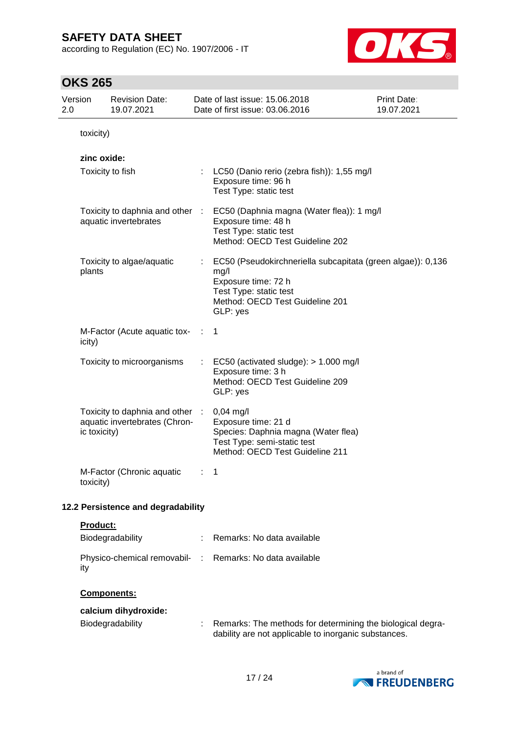according to Regulation (EC) No. 1907/2006 - IT



| 2.0 | Version      | <b>Revision Date:</b><br>19.07.2021                            |   | Date of last issue: 15.06.2018<br>Date of first issue: 03.06.2016                                                                                                   | Print Date:<br>19.07.2021 |
|-----|--------------|----------------------------------------------------------------|---|---------------------------------------------------------------------------------------------------------------------------------------------------------------------|---------------------------|
|     | toxicity)    |                                                                |   |                                                                                                                                                                     |                           |
|     | zinc oxide:  | Toxicity to fish                                               |   | LC50 (Danio rerio (zebra fish)): 1,55 mg/l<br>Exposure time: 96 h<br>Test Type: static test                                                                         |                           |
|     |              | Toxicity to daphnia and other :<br>aquatic invertebrates       |   | EC50 (Daphnia magna (Water flea)): 1 mg/l<br>Exposure time: 48 h<br>Test Type: static test<br>Method: OECD Test Guideline 202                                       |                           |
|     | plants       | Toxicity to algae/aquatic                                      |   | EC50 (Pseudokirchneriella subcapitata (green algae)): 0,136<br>mg/l<br>Exposure time: 72 h<br>Test Type: static test<br>Method: OECD Test Guideline 201<br>GLP: yes |                           |
|     | icity)       | M-Factor (Acute aquatic tox-                                   |   | -1                                                                                                                                                                  |                           |
|     |              | Toxicity to microorganisms                                     |   | EC50 (activated sludge): $> 1.000$ mg/l<br>Exposure time: 3 h<br>Method: OECD Test Guideline 209<br>GLP: yes                                                        |                           |
|     | ic toxicity) | Toxicity to daphnia and other<br>aquatic invertebrates (Chron- | ÷ | $0,04$ mg/l<br>Exposure time: 21 d<br>Species: Daphnia magna (Water flea)<br>Test Type: semi-static test<br>Method: OECD Test Guideline 211                         |                           |
|     | toxicity)    | M-Factor (Chronic aquatic                                      |   | 1                                                                                                                                                                   |                           |
|     |              | 12.2 Persistence and degradability                             |   |                                                                                                                                                                     |                           |
|     | Product:     | Biodegradability                                               |   | Remarks: No data available                                                                                                                                          |                           |
|     | ity          | Physico-chemical removabil- :                                  |   | Remarks: No data available                                                                                                                                          |                           |
|     |              | <b>Components:</b>                                             |   |                                                                                                                                                                     |                           |
|     |              | calcium dihydroxide:<br>Biodegradability                       |   | Remarks: The methods for determining the biological degra-<br>dability are not applicable to inorganic substances.                                                  |                           |

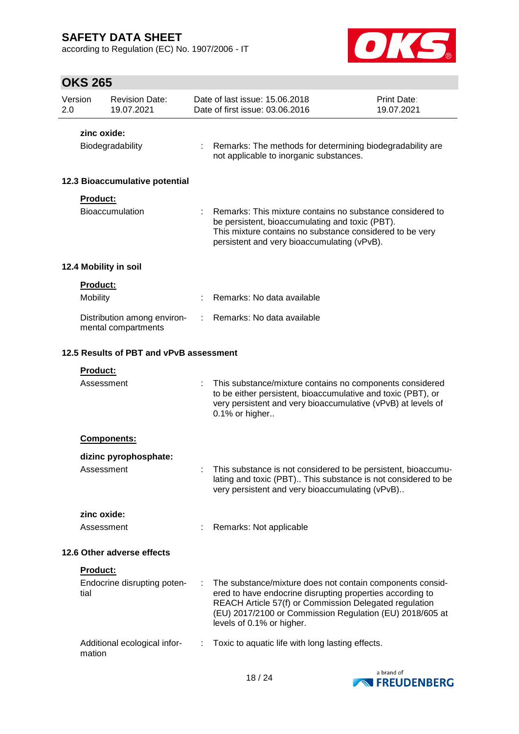according to Regulation (EC) No. 1907/2006 - IT



| Version<br>2.0 |                 | <b>Revision Date:</b><br>19.07.2021                |    | Date of last issue: 15.06.2018<br>Date of first issue: 03.06.2016                                                                                                                                                                                                         | Print Date:<br>19.07.2021 |
|----------------|-----------------|----------------------------------------------------|----|---------------------------------------------------------------------------------------------------------------------------------------------------------------------------------------------------------------------------------------------------------------------------|---------------------------|
|                | zinc oxide:     |                                                    |    |                                                                                                                                                                                                                                                                           |                           |
|                |                 | Biodegradability                                   |    | Remarks: The methods for determining biodegradability are<br>not applicable to inorganic substances.                                                                                                                                                                      |                           |
|                |                 | 12.3 Bioaccumulative potential                     |    |                                                                                                                                                                                                                                                                           |                           |
|                | Product:        | <b>Bioaccumulation</b>                             |    | Remarks: This mixture contains no substance considered to<br>be persistent, bioaccumulating and toxic (PBT).<br>This mixture contains no substance considered to be very<br>persistent and very bioaccumulating (vPvB).                                                   |                           |
|                |                 | 12.4 Mobility in soil                              |    |                                                                                                                                                                                                                                                                           |                           |
|                | <b>Product:</b> |                                                    |    |                                                                                                                                                                                                                                                                           |                           |
|                | Mobility        |                                                    |    | Remarks: No data available                                                                                                                                                                                                                                                |                           |
|                |                 | Distribution among environ-<br>mental compartments | ÷. | Remarks: No data available                                                                                                                                                                                                                                                |                           |
|                |                 | 12.5 Results of PBT and vPvB assessment            |    |                                                                                                                                                                                                                                                                           |                           |
|                | Product:        |                                                    |    |                                                                                                                                                                                                                                                                           |                           |
|                | Assessment      |                                                    |    | This substance/mixture contains no components considered<br>to be either persistent, bioaccumulative and toxic (PBT), or<br>very persistent and very bioaccumulative (vPvB) at levels of<br>0.1% or higher                                                                |                           |
|                |                 | <b>Components:</b>                                 |    |                                                                                                                                                                                                                                                                           |                           |
|                |                 | dizinc pyrophosphate:                              |    |                                                                                                                                                                                                                                                                           |                           |
|                | Assessment      |                                                    |    | This substance is not considered to be persistent, bioaccumu-<br>lating and toxic (PBT) This substance is not considered to be<br>very persistent and very bioaccumulating (vPvB)                                                                                         |                           |
|                | zinc oxide:     |                                                    |    |                                                                                                                                                                                                                                                                           |                           |
|                | Assessment      |                                                    |    | Remarks: Not applicable                                                                                                                                                                                                                                                   |                           |
|                |                 | 12.6 Other adverse effects                         |    |                                                                                                                                                                                                                                                                           |                           |
|                | Product:        |                                                    |    |                                                                                                                                                                                                                                                                           |                           |
|                | tial            | Endocrine disrupting poten-                        | ÷  | The substance/mixture does not contain components consid-<br>ered to have endocrine disrupting properties according to<br>REACH Article 57(f) or Commission Delegated regulation<br>(EU) 2017/2100 or Commission Regulation (EU) 2018/605 at<br>levels of 0.1% or higher. |                           |
|                | mation          | Additional ecological infor-                       |    | Toxic to aquatic life with long lasting effects.                                                                                                                                                                                                                          |                           |

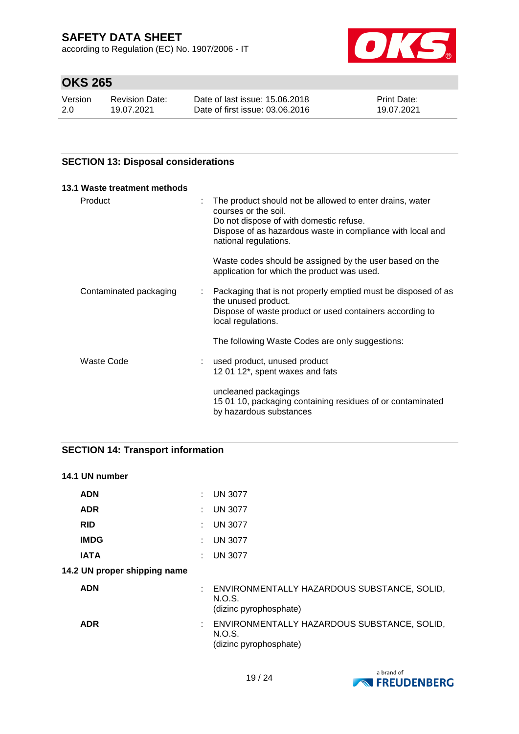according to Regulation (EC) No. 1907/2006 - IT



# **OKS 265**

| Version | <b>Revision Date:</b> | Date of last issue: 15,06,2018  | <b>Print Date:</b> |
|---------|-----------------------|---------------------------------|--------------------|
| 2.0     | 19.07.2021            | Date of first issue: 03.06.2016 | 19.07.2021         |

## **SECTION 13: Disposal considerations**

| 13.1 Waste treatment methods              |                                                                                                                                                                                                                                                 |
|-------------------------------------------|-------------------------------------------------------------------------------------------------------------------------------------------------------------------------------------------------------------------------------------------------|
| Product                                   | The product should not be allowed to enter drains, water<br>$\mathbb{Z}^{\mathbb{Z}}$<br>courses or the soil.<br>Do not dispose of with domestic refuse.<br>Dispose of as hazardous waste in compliance with local and<br>national regulations. |
|                                           | Waste codes should be assigned by the user based on the<br>application for which the product was used.                                                                                                                                          |
| Contaminated packaging                    | : Packaging that is not properly emptied must be disposed of as<br>the unused product.<br>Dispose of waste product or used containers according to<br>local regulations.                                                                        |
|                                           | The following Waste Codes are only suggestions:                                                                                                                                                                                                 |
| Waste Code<br>$\mathcal{L}^{\mathcal{L}}$ | used product, unused product<br>12 01 12*, spent waxes and fats                                                                                                                                                                                 |
|                                           | uncleaned packagings<br>15 01 10, packaging containing residues of or contaminated<br>by hazardous substances                                                                                                                                   |

## **SECTION 14: Transport information**

## **14.1 UN number**

| <b>ADN</b>                   | : UN 3077                                                                         |
|------------------------------|-----------------------------------------------------------------------------------|
| <b>ADR</b>                   | $:$ UN 3077                                                                       |
| <b>RID</b>                   | $:$ UN 3077                                                                       |
| <b>IMDG</b>                  | : UN 3077                                                                         |
| <b>IATA</b>                  | <b>UN 3077</b>                                                                    |
| 14.2 UN proper shipping name |                                                                                   |
| <b>ADN</b>                   | : ENVIRONMENTALLY HAZARDOUS SUBSTANCE, SOLID,<br>N.O.S.<br>(dizinc pyrophosphate) |
| <b>ADR</b>                   | : ENVIRONMENTALLY HAZARDOUS SUBSTANCE, SOLID,<br>N.O.S.<br>(dizinc pyrophosphate) |

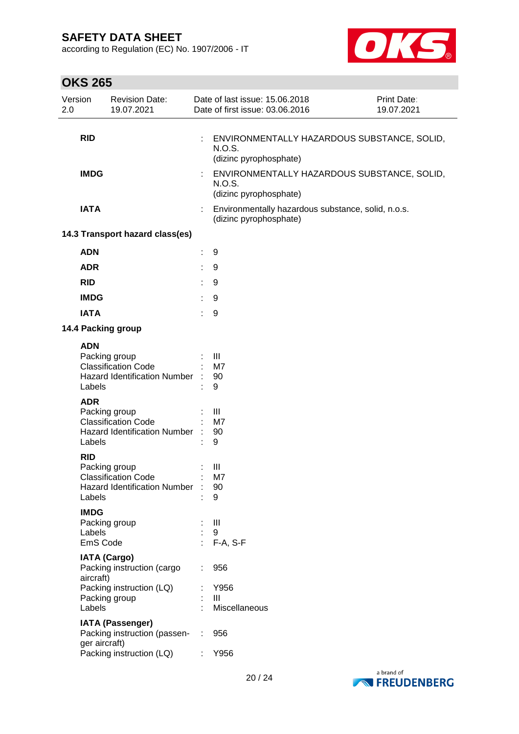according to Regulation (EC) No. 1907/2006 - IT



| 2.0 | Version                           | <b>Revision Date:</b><br>19.07.2021                                                |    | Date of last issue: 15.06.2018<br>Date of first issue: 03.06.2016               | Print Date:<br>19.07.2021 |
|-----|-----------------------------------|------------------------------------------------------------------------------------|----|---------------------------------------------------------------------------------|---------------------------|
|     | <b>RID</b>                        |                                                                                    |    | ENVIRONMENTALLY HAZARDOUS SUBSTANCE, SOLID,<br>N.O.S.<br>(dizinc pyrophosphate) |                           |
|     | <b>IMDG</b>                       |                                                                                    | ÷  | ENVIRONMENTALLY HAZARDOUS SUBSTANCE, SOLID,<br>N.O.S.<br>(dizinc pyrophosphate) |                           |
|     | <b>IATA</b>                       |                                                                                    |    | Environmentally hazardous substance, solid, n.o.s.<br>(dizinc pyrophosphate)    |                           |
|     |                                   | 14.3 Transport hazard class(es)                                                    |    |                                                                                 |                           |
|     | <b>ADN</b>                        |                                                                                    | ÷. | 9                                                                               |                           |
|     | <b>ADR</b>                        |                                                                                    | t  | 9                                                                               |                           |
|     | <b>RID</b>                        |                                                                                    |    | 9                                                                               |                           |
|     | <b>IMDG</b>                       |                                                                                    |    | 9                                                                               |                           |
|     | <b>IATA</b>                       |                                                                                    |    | 9                                                                               |                           |
|     |                                   | 14.4 Packing group                                                                 |    |                                                                                 |                           |
|     | <b>ADN</b><br>Labels              | Packing group<br><b>Classification Code</b><br>Hazard Identification Number :      |    | Ш<br>M7<br>90<br>9                                                              |                           |
|     | <b>ADR</b><br>Labels              | Packing group<br><b>Classification Code</b><br><b>Hazard Identification Number</b> |    | III<br>M7<br>90<br>9                                                            |                           |
|     | <b>RID</b><br>Labels              | Packing group<br><b>Classification Code</b><br>Hazard Identification Number :      |    | Ш<br>M7<br>90<br>9                                                              |                           |
|     | <b>IMDG</b><br>Labels<br>EmS Code | Packing group                                                                      |    | Ш<br>9<br>F-A, S-F                                                              |                           |
|     | aircraft)                         | <b>IATA (Cargo)</b><br>Packing instruction (cargo                                  |    | 956                                                                             |                           |
|     | Labels                            | Packing instruction (LQ)<br>Packing group                                          |    | Y956<br>Ш<br>Miscellaneous                                                      |                           |
|     | ger aircraft)                     | <b>IATA (Passenger)</b><br>Packing instruction (passen-                            | ÷  | 956                                                                             |                           |
|     |                                   | Packing instruction (LQ)                                                           |    | Y956                                                                            |                           |

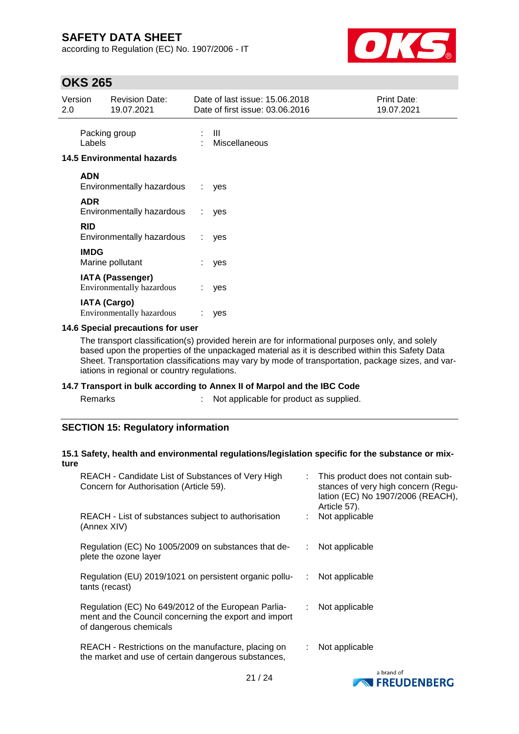according to Regulation (EC) No. 1907/2006 - IT



## **OKS 265**

| Version<br>2.0 |                     | <b>Revision Date:</b><br>19.07.2021                  |    | Date of last issue: 15.06.2018<br>Date of first issue: 03.06.2016 | Print Date:<br>19.07.2021 |
|----------------|---------------------|------------------------------------------------------|----|-------------------------------------------------------------------|---------------------------|
|                | Labels              | Packing group                                        |    | Ш<br>: Miscellaneous                                              |                           |
|                |                     | <b>14.5 Environmental hazards</b>                    |    |                                                                   |                           |
|                | <b>ADN</b>          | Environmentally hazardous                            |    | : yes                                                             |                           |
|                | <b>ADR</b>          | Environmentally hazardous                            | ÷. | yes                                                               |                           |
|                | <b>RID</b>          | Environmentally hazardous                            | ÷. | yes                                                               |                           |
|                | <b>IMDG</b>         | Marine pollutant                                     | ÷. | yes                                                               |                           |
|                |                     | <b>IATA (Passenger)</b><br>Environmentally hazardous | ÷. | yes                                                               |                           |
|                | <b>IATA (Cargo)</b> | <b>Environmentally hazardous</b>                     |    | yes                                                               |                           |

## **14.6 Special precautions for user**

The transport classification(s) provided herein are for informational purposes only, and solely based upon the properties of the unpackaged material as it is described within this Safety Data Sheet. Transportation classifications may vary by mode of transportation, package sizes, and variations in regional or country regulations.

#### **14.7 Transport in bulk according to Annex II of Marpol and the IBC Code**

s and  $\mathbb{R}^2$  : Not applicable for product as supplied.

## **SECTION 15: Regulatory information**

#### **15.1 Safety, health and environmental regulations/legislation specific for the substance or mixture**

| REACH - Candidate List of Substances of Very High<br>Concern for Authorisation (Article 59).                                           |    | : This product does not contain sub-<br>stances of very high concern (Regu-<br>lation (EC) No 1907/2006 (REACH),<br>Article 57). |
|----------------------------------------------------------------------------------------------------------------------------------------|----|----------------------------------------------------------------------------------------------------------------------------------|
| REACH - List of substances subject to authorisation<br>(Annex XIV)                                                                     |    | Not applicable                                                                                                                   |
| Regulation (EC) No 1005/2009 on substances that de-<br>plete the ozone layer                                                           |    | Not applicable                                                                                                                   |
| Regulation (EU) 2019/1021 on persistent organic pollu-<br>tants (recast)                                                               | ÷  | Not applicable                                                                                                                   |
| Regulation (EC) No 649/2012 of the European Parlia-<br>ment and the Council concerning the export and import<br>of dangerous chemicals | ÷. | Not applicable                                                                                                                   |
| REACH - Restrictions on the manufacture, placing on<br>the market and use of certain dangerous substances,                             |    | Not applicable                                                                                                                   |
|                                                                                                                                        |    | a brand of                                                                                                                       |

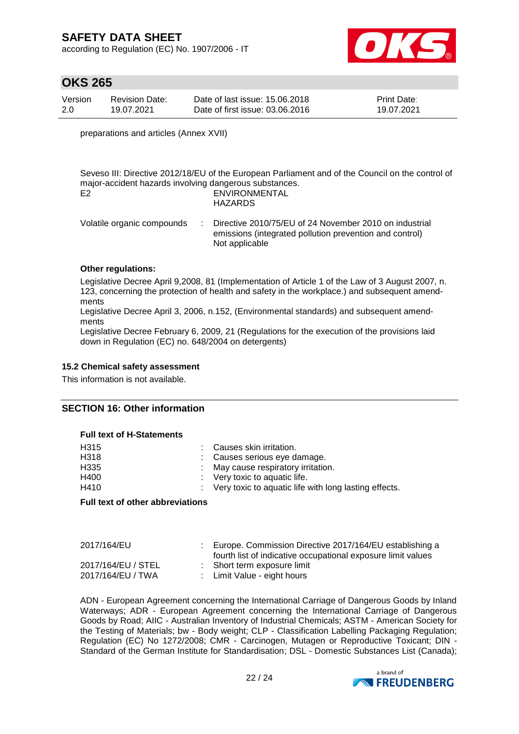according to Regulation (EC) No. 1907/2006 - IT



## **OKS 265**

| Version | <b>Revision Date:</b> | Date of last issue: 15.06.2018  | <b>Print Date:</b> |
|---------|-----------------------|---------------------------------|--------------------|
| 2.0     | 19.07.2021            | Date of first issue: 03.06.2016 | 19.07.2021         |

preparations and articles (Annex XVII)

Seveso III: Directive 2012/18/EU of the European Parliament and of the Council on the control of major-accident hazards involving dangerous substances. E2 ENVIRONMENTAL HAZARDS

| Volatile organic compounds | : Directive 2010/75/EU of 24 November 2010 on industrial |
|----------------------------|----------------------------------------------------------|
|                            | emissions (integrated pollution prevention and control)  |
|                            | Not applicable                                           |

#### **Other regulations:**

Legislative Decree April 9,2008, 81 (Implementation of Article 1 of the Law of 3 August 2007, n. 123, concerning the protection of health and safety in the workplace.) and subsequent amendments

Legislative Decree April 3, 2006, n.152, (Environmental standards) and subsequent amendments

Legislative Decree February 6, 2009, 21 (Regulations for the execution of the provisions laid down in Regulation (EC) no. 648/2004 on detergents)

#### **15.2 Chemical safety assessment**

This information is not available.

#### **SECTION 16: Other information**

#### **Full text of H-Statements**

| : Very toxic to aquatic life with long lasting effects. |
|---------------------------------------------------------|
|                                                         |

#### **Full text of other abbreviations**

| 2017/164/EU                             | Europe. Commission Directive 2017/164/EU establishing a<br>fourth list of indicative occupational exposure limit values |
|-----------------------------------------|-------------------------------------------------------------------------------------------------------------------------|
| 2017/164/EU / STEL<br>2017/164/EU / TWA | : Short term exposure limit<br>: Limit Value - eight hours                                                              |

ADN - European Agreement concerning the International Carriage of Dangerous Goods by Inland Waterways; ADR - European Agreement concerning the International Carriage of Dangerous Goods by Road; AIIC - Australian Inventory of Industrial Chemicals; ASTM - American Society for the Testing of Materials; bw - Body weight; CLP - Classification Labelling Packaging Regulation; Regulation (EC) No 1272/2008; CMR - Carcinogen, Mutagen or Reproductive Toxicant; DIN - Standard of the German Institute for Standardisation; DSL - Domestic Substances List (Canada);

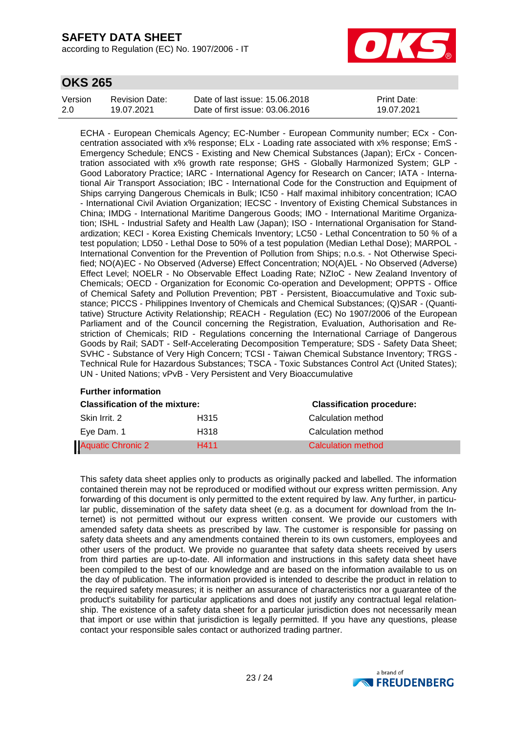according to Regulation (EC) No. 1907/2006 - IT



## **OKS 265**

| Version | <b>Revision Date:</b> | Date of last issue: 15.06.2018  | <b>Print Date:</b> |
|---------|-----------------------|---------------------------------|--------------------|
| 2.0     | 19.07.2021            | Date of first issue: 03.06.2016 | 19.07.2021         |

ECHA - European Chemicals Agency; EC-Number - European Community number; ECx - Concentration associated with x% response; ELx - Loading rate associated with x% response; EmS - Emergency Schedule; ENCS - Existing and New Chemical Substances (Japan); ErCx - Concentration associated with x% growth rate response; GHS - Globally Harmonized System; GLP - Good Laboratory Practice; IARC - International Agency for Research on Cancer; IATA - International Air Transport Association; IBC - International Code for the Construction and Equipment of Ships carrying Dangerous Chemicals in Bulk; IC50 - Half maximal inhibitory concentration; ICAO - International Civil Aviation Organization; IECSC - Inventory of Existing Chemical Substances in China; IMDG - International Maritime Dangerous Goods; IMO - International Maritime Organization; ISHL - Industrial Safety and Health Law (Japan); ISO - International Organisation for Standardization; KECI - Korea Existing Chemicals Inventory; LC50 - Lethal Concentration to 50 % of a test population; LD50 - Lethal Dose to 50% of a test population (Median Lethal Dose); MARPOL - International Convention for the Prevention of Pollution from Ships; n.o.s. - Not Otherwise Specified; NO(A)EC - No Observed (Adverse) Effect Concentration; NO(A)EL - No Observed (Adverse) Effect Level; NOELR - No Observable Effect Loading Rate; NZIoC - New Zealand Inventory of Chemicals; OECD - Organization for Economic Co-operation and Development; OPPTS - Office of Chemical Safety and Pollution Prevention; PBT - Persistent, Bioaccumulative and Toxic substance; PICCS - Philippines Inventory of Chemicals and Chemical Substances; (Q)SAR - (Quantitative) Structure Activity Relationship; REACH - Regulation (EC) No 1907/2006 of the European Parliament and of the Council concerning the Registration, Evaluation, Authorisation and Restriction of Chemicals; RID - Regulations concerning the International Carriage of Dangerous Goods by Rail; SADT - Self-Accelerating Decomposition Temperature; SDS - Safety Data Sheet; SVHC - Substance of Very High Concern; TCSI - Taiwan Chemical Substance Inventory; TRGS - Technical Rule for Hazardous Substances; TSCA - Toxic Substances Control Act (United States); UN - United Nations; vPvB - Very Persistent and Very Bioaccumulative

| <b>Further information</b>            |      |                                  |  |  |  |  |
|---------------------------------------|------|----------------------------------|--|--|--|--|
| <b>Classification of the mixture:</b> |      | <b>Classification procedure:</b> |  |  |  |  |
| Skin Irrit, 2                         | H315 | Calculation method               |  |  |  |  |
| Eve Dam. 1                            | H318 | Calculation method               |  |  |  |  |
| <b>Aquatic Chronic 2</b>              | H411 | Calculation method               |  |  |  |  |

This safety data sheet applies only to products as originally packed and labelled. The information contained therein may not be reproduced or modified without our express written permission. Any forwarding of this document is only permitted to the extent required by law. Any further, in particular public, dissemination of the safety data sheet (e.g. as a document for download from the Internet) is not permitted without our express written consent. We provide our customers with amended safety data sheets as prescribed by law. The customer is responsible for passing on safety data sheets and any amendments contained therein to its own customers, employees and other users of the product. We provide no guarantee that safety data sheets received by users from third parties are up-to-date. All information and instructions in this safety data sheet have been compiled to the best of our knowledge and are based on the information available to us on the day of publication. The information provided is intended to describe the product in relation to the required safety measures; it is neither an assurance of characteristics nor a guarantee of the product's suitability for particular applications and does not justify any contractual legal relationship. The existence of a safety data sheet for a particular jurisdiction does not necessarily mean that import or use within that jurisdiction is legally permitted. If you have any questions, please contact your responsible sales contact or authorized trading partner.